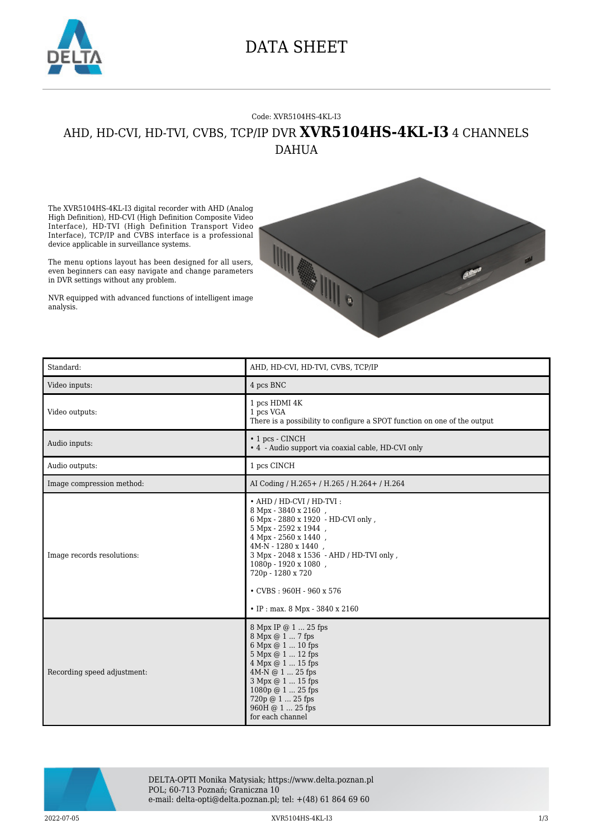

## DATA SHEET

## Code: XVR5104HS-4KL-I3 AHD, HD-CVI, HD-TVI, CVBS, TCP/IP DVR **XVR5104HS-4KL-I3** 4 CHANNELS DAHUA

The XVR5104HS-4KL-I3 digital recorder with AHD (Analog High Definition), HD-CVI (High Definition Composite Video Interface), HD-TVI (High Definition Transport Video Interface), TCP/IP and CVBS interface is a professional device applicable in surveillance systems.

The menu options layout has been designed for all users, even beginners can easy navigate and change parameters in DVR settings without any problem.

NVR equipped with advanced functions of intelligent image analysis.



| Standard:                   | AHD, HD-CVI, HD-TVI, CVBS, TCP/IP                                                                                                                                                                                                                                                                                          |
|-----------------------------|----------------------------------------------------------------------------------------------------------------------------------------------------------------------------------------------------------------------------------------------------------------------------------------------------------------------------|
| Video inputs:               | 4 pcs BNC                                                                                                                                                                                                                                                                                                                  |
| Video outputs:              | 1 pcs HDMI 4K<br>1 pcs VGA<br>There is a possibility to configure a SPOT function on one of the output                                                                                                                                                                                                                     |
| Audio inputs:               | $\cdot$ 1 pcs - CINCH<br>• 4 - Audio support via coaxial cable, HD-CVI only                                                                                                                                                                                                                                                |
| Audio outputs:              | 1 pcs CINCH                                                                                                                                                                                                                                                                                                                |
| Image compression method:   | AI Coding / H.265 + / H.265 / H.264 + / H.264                                                                                                                                                                                                                                                                              |
| Image records resolutions:  | • AHD / HD-CVI / HD-TVI:<br>8 Mpx - 3840 x 2160,<br>6 Mpx - 2880 x 1920 - HD-CVI only,<br>5 Mpx - 2592 x 1944,<br>4 Mpx - 2560 x 1440,<br>4M-N - 1280 x 1440,<br>3 Mpx - 2048 x 1536 - AHD / HD-TVI only,<br>1080p - 1920 x 1080,<br>720p - 1280 x 720<br>$\cdot$ CVBS: 960H - 960 x 576<br>• IP: max. 8 Mpx - 3840 x 2160 |
| Recording speed adjustment: | 8 Mpx IP @ 1  25 fps<br>8 Mpx @ 1  7 fps<br>6 Mpx @ 1  10 fps<br>5 Mpx @ 1  12 fps<br>4 Mpx @ 1  15 fps<br>4M-N @ 1  25 fps<br>3 Mpx @ 1  15 fps<br>1080p @ 1  25 fps<br>720p @ 1  25 fps<br>960H @ 1  25 fps<br>for each channel                                                                                          |



DELTA-OPTI Monika Matysiak; https://www.delta.poznan.pl POL; 60-713 Poznań; Graniczna 10 e-mail: delta-opti@delta.poznan.pl; tel: +(48) 61 864 69 60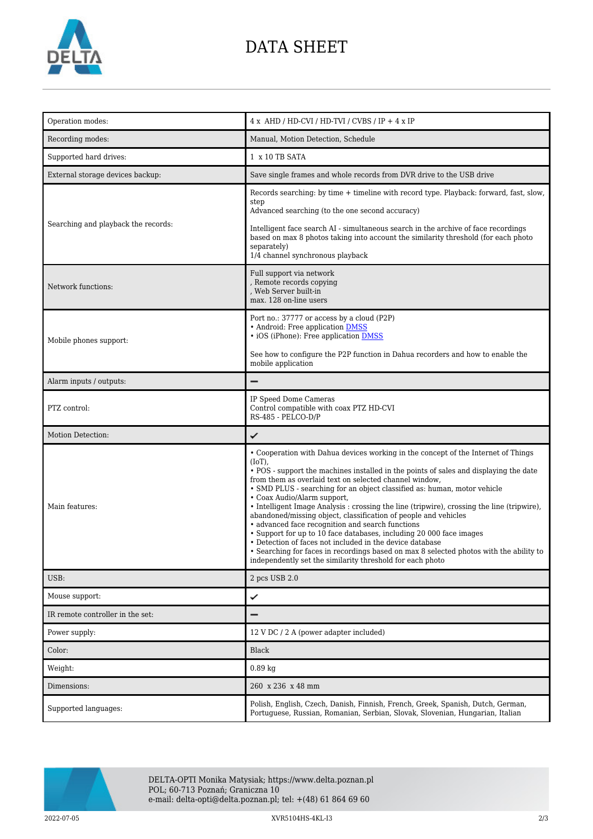

## DATA SHEET

| Operation modes:                    | $4 x$ AHD / HD-CVI / HD-TVI / CVBS / IP + $4 x$ IP                                                                                                                                                                                                                                                                                                                                                                                                                                                                                                                                                                                                                                                                                                                                                                                                                          |
|-------------------------------------|-----------------------------------------------------------------------------------------------------------------------------------------------------------------------------------------------------------------------------------------------------------------------------------------------------------------------------------------------------------------------------------------------------------------------------------------------------------------------------------------------------------------------------------------------------------------------------------------------------------------------------------------------------------------------------------------------------------------------------------------------------------------------------------------------------------------------------------------------------------------------------|
| Recording modes:                    | Manual, Motion Detection, Schedule                                                                                                                                                                                                                                                                                                                                                                                                                                                                                                                                                                                                                                                                                                                                                                                                                                          |
| Supported hard drives:              | 1 x 10 TB SATA                                                                                                                                                                                                                                                                                                                                                                                                                                                                                                                                                                                                                                                                                                                                                                                                                                                              |
| External storage devices backup:    | Save single frames and whole records from DVR drive to the USB drive                                                                                                                                                                                                                                                                                                                                                                                                                                                                                                                                                                                                                                                                                                                                                                                                        |
| Searching and playback the records: | Records searching: by time + timeline with record type. Playback: forward, fast, slow,<br>step<br>Advanced searching (to the one second accuracy)<br>Intelligent face search AI - simultaneous search in the archive of face recordings<br>based on max 8 photos taking into account the similarity threshold (for each photo<br>separately)<br>1/4 channel synchronous playback                                                                                                                                                                                                                                                                                                                                                                                                                                                                                            |
| Network functions:                  | Full support via network<br>, Remote records copying<br>, Web Server built-in<br>max. 128 on-line users                                                                                                                                                                                                                                                                                                                                                                                                                                                                                                                                                                                                                                                                                                                                                                     |
| Mobile phones support:              | Port no.: 37777 or access by a cloud (P2P)<br>• Android: Free application DMSS<br>• iOS (iPhone): Free application DMSS<br>See how to configure the P2P function in Dahua recorders and how to enable the<br>mobile application                                                                                                                                                                                                                                                                                                                                                                                                                                                                                                                                                                                                                                             |
| Alarm inputs / outputs:             |                                                                                                                                                                                                                                                                                                                                                                                                                                                                                                                                                                                                                                                                                                                                                                                                                                                                             |
| PTZ control:                        | IP Speed Dome Cameras<br>Control compatible with coax PTZ HD-CVI<br>RS-485 - PELCO-D/P                                                                                                                                                                                                                                                                                                                                                                                                                                                                                                                                                                                                                                                                                                                                                                                      |
| Motion Detection:                   | ✓                                                                                                                                                                                                                                                                                                                                                                                                                                                                                                                                                                                                                                                                                                                                                                                                                                                                           |
| Main features:                      | • Cooperation with Dahua devices working in the concept of the Internet of Things<br>$(IoT)$ ,<br>• POS - support the machines installed in the points of sales and displaying the date<br>from them as overlaid text on selected channel window,<br>• SMD PLUS - searching for an object classified as: human, motor vehicle<br>• Coax Audio/Alarm support,<br>• Intelligent Image Analysis : crossing the line (tripwire), crossing the line (tripwire),<br>abandoned/missing object, classification of people and vehicles<br>• advanced face recognition and search functions<br>• Support for up to 10 face databases, including 20 000 face images<br>• Detection of faces not included in the device database<br>• Searching for faces in recordings based on max 8 selected photos with the ability to<br>independently set the similarity threshold for each photo |
| USB:                                | 2 pcs USB 2.0                                                                                                                                                                                                                                                                                                                                                                                                                                                                                                                                                                                                                                                                                                                                                                                                                                                               |
| Mouse support:                      | ✓                                                                                                                                                                                                                                                                                                                                                                                                                                                                                                                                                                                                                                                                                                                                                                                                                                                                           |
| IR remote controller in the set:    |                                                                                                                                                                                                                                                                                                                                                                                                                                                                                                                                                                                                                                                                                                                                                                                                                                                                             |
| Power supply:                       | 12 V DC / 2 A (power adapter included)                                                                                                                                                                                                                                                                                                                                                                                                                                                                                                                                                                                                                                                                                                                                                                                                                                      |
| Color:                              | <b>Black</b>                                                                                                                                                                                                                                                                                                                                                                                                                                                                                                                                                                                                                                                                                                                                                                                                                                                                |
| Weight:                             | $0.89$ kg                                                                                                                                                                                                                                                                                                                                                                                                                                                                                                                                                                                                                                                                                                                                                                                                                                                                   |
| Dimensions:                         | 260 x 236 x 48 mm                                                                                                                                                                                                                                                                                                                                                                                                                                                                                                                                                                                                                                                                                                                                                                                                                                                           |
| Supported languages:                | Polish, English, Czech, Danish, Finnish, French, Greek, Spanish, Dutch, German,<br>Portuguese, Russian, Romanian, Serbian, Slovak, Slovenian, Hungarian, Italian                                                                                                                                                                                                                                                                                                                                                                                                                                                                                                                                                                                                                                                                                                            |



DELTA-OPTI Monika Matysiak; https://www.delta.poznan.pl POL; 60-713 Poznań; Graniczna 10 e-mail: delta-opti@delta.poznan.pl; tel: +(48) 61 864 69 60

2022-07-05 XVR5104HS-4KL-I3 2/3